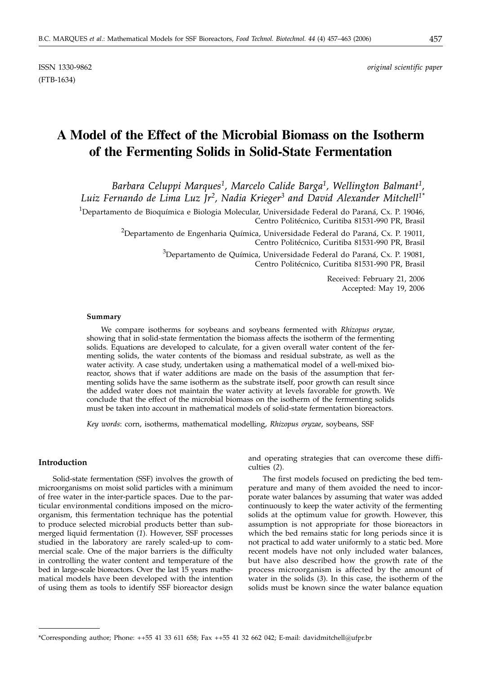# **A Model of the Effect of the Microbial Biomass on the Isotherm of the Fermenting Solids in Solid-State Fermentation**

*Barbara Celuppi Marques1, Marcelo Calide Barga1, Wellington Balmant1, Luiz Fernando de Lima Luz Jr2, Nadia Krieger3 and David Alexander Mitchell1\**

<sup>1</sup>Departamento de Bioquímica e Biologia Molecular, Universidade Federal do Paraná, Cx. P. 19046, Centro Politécnico, Curitiba 81531-990 PR, Brasil

> $^2$ Departamento de Engenharia Química, Universidade Federal do Paraná, Cx. P. 19011, Centro Politécnico, Curitiba 81531-990 PR, Brasil

> > $^3$ Departamento de Química, Universidade Federal do Paraná, Cx. P. 19081, Centro Politécnico, Curitiba 81531-990 PR, Brasil

> > > Received: February 21, 2006 Accepted: May 19, 2006

### **Summary**

We compare isotherms for soybeans and soybeans fermented with *Rhizopus oryzae,* showing that in solid-state fermentation the biomass affects the isotherm of the fermenting solids. Equations are developed to calculate, for a given overall water content of the fermenting solids, the water contents of the biomass and residual substrate, as well as the water activity. A case study, undertaken using a mathematical model of a well-mixed bioreactor, shows that if water additions are made on the basis of the assumption that fermenting solids have the same isotherm as the substrate itself, poor growth can result since the added water does not maintain the water activity at levels favorable for growth. We conclude that the effect of the microbial biomass on the isotherm of the fermenting solids must be taken into account in mathematical models of solid-state fermentation bioreactors.

*Key words*: corn, isotherms, mathematical modelling, *Rhizopus oryzae*, soybeans, SSF

# **Introduction**

Solid-state fermentation (SSF) involves the growth of microorganisms on moist solid particles with a minimum of free water in the inter-particle spaces. Due to the particular environmental conditions imposed on the microorganism, this fermentation technique has the potential to produce selected microbial products better than submerged liquid fermentation (*1*). However, SSF processes studied in the laboratory are rarely scaled-up to commercial scale. One of the major barriers is the difficulty in controlling the water content and temperature of the bed in large-scale bioreactors. Over the last 15 years mathematical models have been developed with the intention of using them as tools to identify SSF bioreactor design

and operating strategies that can overcome these difficulties (*2*).

The first models focused on predicting the bed temperature and many of them avoided the need to incorporate water balances by assuming that water was added continuously to keep the water activity of the fermenting solids at the optimum value for growth. However, this assumption is not appropriate for those bioreactors in which the bed remains static for long periods since it is not practical to add water uniformly to a static bed. More recent models have not only included water balances, but have also described how the growth rate of the process microorganism is affected by the amount of water in the solids (*3*). In this case, the isotherm of the solids must be known since the water balance equation

<sup>\*</sup>Corresponding author; Phone: ++55 41 33 611 658; Fax ++55 41 32 662 042; E-mail: davidmitchell*@*ufpr.br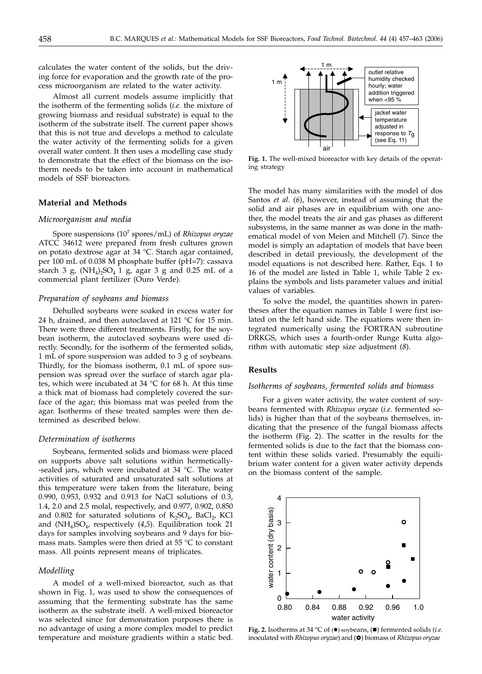calculates the water content of the solids, but the driving force for evaporation and the growth rate of the process microorganism are related to the water activity.

Almost all current models assume implicitly that the isotherm of the fermenting solids (*i.e.* the mixture of growing biomass and residual substrate) is equal to the isotherm of the substrate itself. The current paper shows that this is not true and develops a method to calculate the water activity of the fermenting solids for a given overall water content. It then uses a modelling case study to demonstrate that the effect of the biomass on the isotherm needs to be taken into account in mathematical models of SSF bioreactors.

# **Material and Methods**

#### *Microorganism and media*

Spore suspensions (107 spores/mL) of *Rhizopus oryzae* ATCC 34612 were prepared from fresh cultures grown on potato dextrose agar at 34 °C. Starch agar contained, per 100 mL of 0.038 M phosphate buffer (pH=7): cassava starch 3 g,  $(NH_4)_2SO_4$  1 g, agar 3 g and 0.25 mL of a commercial plant fertilizer (Ouro Verde).

#### *Preparation of soybeans and biomass*

Dehulled soybeans were soaked in excess water for 24 h, drained, and then autoclaved at 121  $\degree$ C for 15 min. There were three different treatments. Firstly, for the soybean isotherm, the autoclaved soybeans were used directly. Secondly, for the isotherm of the fermented solids, 1 mL of spore suspension was added to 3 g of soybeans. Thirdly, for the biomass isotherm, 0.1 mL of spore suspension was spread over the surface of starch agar plates, which were incubated at 34 °C for 68 h. At this time a thick mat of biomass had completely covered the surface of the agar; this biomass mat was peeled from the agar. Isotherms of these treated samples were then determined as described below.

## *Determination of isotherms*

Soybeans, fermented solids and biomass were placed on supports above salt solutions within hermetically- -sealed jars, which were incubated at 34 °C. The water activities of saturated and unsaturated salt solutions at this temperature were taken from the literature, being 0.990, 0.953, 0.932 and 0.913 for NaCl solutions of 0.3, 1.4, 2.0 and 2.5 molal, respectively, and 0.977, 0.902, 0.850 and 0.802 for saturated solutions of  $K_2SO_4$ , BaCl<sub>2</sub>, KCl and (NH4)SO4, respectively (*4,5*). Equilibration took 21 days for samples involving soybeans and 9 days for biomass mats. Samples were then dried at 55 °C to constant mass. All points represent means of triplicates.

# *Modelling*

A model of a well-mixed bioreactor, such as that shown in Fig. 1, was used to show the consequences of assuming that the fermenting substrate has the same isotherm as the substrate itself. A well-mixed bioreactor was selected since for demonstration purposes there is no advantage of using a more complex model to predict temperature and moisture gradients within a static bed.



**Fig. 1.** The well-mixed bioreactor with key details of the operating strategy

The model has many similarities with the model of dos Santos *et al*. (*6*), however, instead of assuming that the solid and air phases are in equilibrium with one another, the model treats the air and gas phases as different subsystems, in the same manner as was done in the mathematical model of von Meien and Mitchell (*7*). Since the model is simply an adaptation of models that have been described in detail previously, the development of the model equations is not described here. Rather, Eqs. 1 to 16 of the model are listed in Table 1, while Table 2 explains the symbols and lists parameter values and initial values of variables.

To solve the model, the quantities shown in parentheses after the equation names in Table 1 were first isolated on the left hand side. The equations were then integrated numerically using the FORTRAN subroutine DRKGS, which uses a fourth-order Runge Kutta algorithm with automatic step size adjustment (*8*).

## **Results**

# *Isotherms of soybeans, fermented solids and biomass*

For a given water activity, the water content of soybeans fermented with *Rhizopus oryzae* (*i.e.* fermented solids) is higher than that of the soybeans themselves, indicating that the presence of the fungal biomass affects the isotherm (Fig. 2). The scatter in the results for the fermented solids is due to the fact that the biomass content within these solids varied. Presumably the equilibrium water content for a given water activity depends on the biomass content of the sample.



Fig. 2. Isotherms at 34 °C of ( $\bullet$ ) soybeans, ( $\blacksquare$ ) fermented solids (*i.e.* inoculated with *Rhizopus oryzae*) and (<sup>O</sup>) biomass of *Rhizopus oryzae*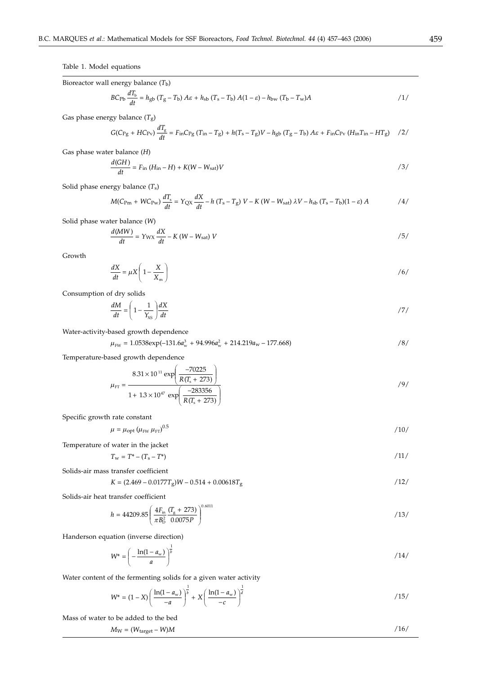Table 1. Model equations

Bioreactor wall energy balance 
$$
(T_b)
$$
  
\n
$$
BC_{\text{Pb}} \frac{dT_b}{dt} = h_{\text{gb}} (T_g - T_b) A \varepsilon + h_{\text{sb}} (T_s - T_b) A (1 - \varepsilon) - h_{\text{bw}} (T_b - T_w) A
$$
\n
$$
/1 / (1 - \varepsilon) A
$$

Gas phase energy balance (*T*g)

$$
G(C_{\rm{Pg}} + HC_{\rm{PV}}) \frac{dT_{\rm{g}}}{dt} = F_{\rm{in}} C_{\rm{Pg}} (T_{\rm{in}} - T_{\rm{g}}) + h(T_{\rm{s}} - T_{\rm{g}})V - h_{\rm{gb}} (T_{\rm{g}} - T_{\rm{b}}) A\varepsilon + F_{\rm{in}} C_{\rm{PV}} (H_{\rm{in}} T_{\rm{in}} - HT_{\rm{g}}) \quad /2 / (1 + \frac{1}{\varepsilon})
$$

Gas phase water balance (*H*)

$$
\frac{d(GH)}{dt} = F_{\text{in}} (H_{\text{in}} - H) + K(W - W_{\text{sat}})V
$$
\n<sup>(3)</sup>

Solid phase energy balance (*T*s)

$$
M(C_{\rm Pm} + W C_{\rm Pw})\frac{dT_s}{dt} = Y_{\rm QX}\frac{dX}{dt} - h(T_s - T_g)V - K(W - W_{\rm sat})\lambda V - h_{\rm sb}(T_s - T_b)(1 - \varepsilon)A
$$

Solid phase water balance (*W*)

$$
\frac{d(MW)}{dt} = Y_{\text{WX}} \frac{dX}{dt} - K (W - W_{\text{sat}}) V
$$

Growth

$$
\frac{dX}{dt} = \mu X \left( 1 - \frac{X}{X_m} \right) \tag{6}
$$

Consumption of dry solids

$$
\frac{dM}{dt} = \left(1 - \frac{1}{Y_{\rm NS}}\right)\frac{dX}{dt}
$$

Water-activity-based growth dependence

$$
\mu_{\text{FW}} = 1.0538 \exp(-131.6a_{\text{w}}^3 + 94.996a_{\text{w}}^2 + 214.219a_{\text{w}} - 177.668) \tag{8}
$$

Temperature-based growth dependence

$$
\mu_{\text{FT}} = \frac{8.31 \times 10^{11} \exp\left(\frac{-70225}{R(T_s + 273)}\right)}{1 + 1.3 \times 10^{47} \exp\left(\frac{-283356}{R(T_s + 273)}\right)}
$$
\n<sup>(9)</sup>

Specific growth rate constant

$$
\mu = \mu_{\rm opt} \left( \mu_{\rm FW} \, \mu_{\rm FT} \right)^{0.5} \tag{10}
$$

Temperature of water in the jacket

$$
T_{\rm w} = T^* - (T_{\rm s} - T^*) \tag{11}
$$

Solids-air mass transfer coefficient

$$
K = (2.469 - 0.0177T_g)W - 0.514 + 0.00618T_g
$$

Solids-air heat transfer coefficient

$$
h = 44209.85 \left( \frac{4F_{\text{in}}}{\pi B_0^2} \frac{(T_{\text{g}} + 273)}{0.0075P} \right)^{0.6011} \tag{13}
$$

Handerson equation (inverse direction)

$$
W^* = \left(-\frac{\ln(1-a_w)}{a}\right)^{\frac{1}{b}}
$$

Water content of the fermenting solids for a given water activity

$$
W^* = (1 - X) \left( \frac{\ln(1 - a_w)}{-a} \right)^{\frac{1}{b}} + X \left( \frac{\ln(1 - a_w)}{-c} \right)^{\frac{1}{d}}
$$
 (15)

Mass of water to be added to the bed

$$
M_{\rm W} = (W_{\rm target} - W)M
$$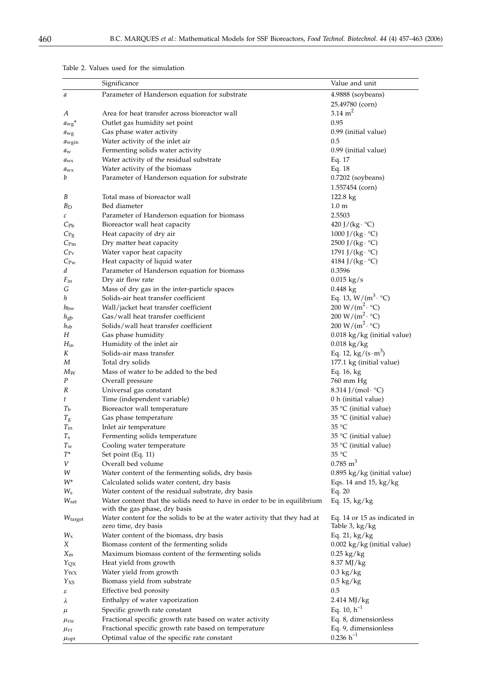|                           | Significance                                                                                              | Value and unit                                                   |
|---------------------------|-----------------------------------------------------------------------------------------------------------|------------------------------------------------------------------|
| а                         | Parameter of Handerson equation for substrate                                                             | 4.9888 (soybeans)                                                |
|                           |                                                                                                           | 25.49780 (corn)                                                  |
| А                         | Area for heat transfer across bioreactor wall                                                             | $3.14 \text{ m}^2$                                               |
| $a_{\rm wg}$ <sup>*</sup> | Outlet gas humidity set point                                                                             | 0.95                                                             |
| $a_{\rm wg}$              | Gas phase water activity                                                                                  | 0.99 (initial value)                                             |
| $a_{\text{wgin}}$         | Water activity of the inlet air                                                                           | 0.5                                                              |
| $a_w$                     | Fermenting solids water activity                                                                          | 0.99 (initial value)                                             |
| $a_{\rm ws}$              | Water activity of the residual substrate                                                                  | Eq. 17                                                           |
| $a_{\rm wx}$              | Water activity of the biomass                                                                             | Eq. 18                                                           |
| b                         | Parameter of Handerson equation for substrate                                                             | $0.7202$ (soybeans)                                              |
|                           |                                                                                                           | 1.557454 (corn)                                                  |
| B                         | Total mass of bioreactor wall                                                                             | $122.8 \text{ kg}$                                               |
| B <sub>D</sub>            | Bed diameter                                                                                              | $1.0 \text{ m}$                                                  |
| $\mathcal C$              | Parameter of Handerson equation for biomass                                                               | 2.5503                                                           |
| $C_{\rm Pb}$              | Bioreactor wall heat capacity                                                                             | 420 J/(kg $\cdot$ °C)                                            |
| $C_{\text{Pg}}$           | Heat capacity of dry air                                                                                  | 1000 J/(kg· °C)                                                  |
| $C_{\rm Pm}$              | Dry matter heat capacity                                                                                  | 2500 J/( $kg \cdot {}^{\circ}C$ )                                |
| $C_{\rm Pv}$              | Water vapor heat capacity                                                                                 | 1791 J/(kg· $°C$ )                                               |
| $C_{\text{PW}}$           | Heat capacity of liquid water                                                                             | 4184 J/(kg· $°C$ )                                               |
| d                         | Parameter of Handerson equation for biomass                                                               | 0.3596                                                           |
| $F_{\rm in}$              | Dry air flow rate                                                                                         | $0.015 \text{ kg/s}$                                             |
| G                         | Mass of dry gas in the inter-particle spaces                                                              | $0.448 \text{ kg}$                                               |
| h                         | Solids-air heat transfer coefficient                                                                      | Eq. 13, $W/(m^3 \cdot {}^{\circ}C)$                              |
| $h_{\text{bw}}$           | Wall/jacket heat transfer coefficient                                                                     | 200 W/( $m^2 \cdot {}^{\circ}C$ )                                |
| $h_{\text{gb}}$           | Gas/wall heat transfer coefficient                                                                        | 200 W/( $m^2 \cdot {}^{\circ}C$ )                                |
| $h_{\rm sb}$              | Solids/wall heat transfer coefficient                                                                     | 200 W/( $m^2 \cdot {}^{\circ}C$ )                                |
| Н                         | Gas phase humidity                                                                                        | 0.018 kg/kg (initial value)                                      |
| $H_{\rm in}$<br>K         | Humidity of the inlet air<br>Solids-air mass transfer                                                     | $0.018$ kg/kg<br>Eq. 12, $\text{kg}/(\text{s} \cdot \text{m}^3)$ |
| M                         | Total dry solids                                                                                          | 177.1 kg (initial value)                                         |
| $M_W$                     | Mass of water to be added to the bed                                                                      | Eq. 16, kg                                                       |
| P                         | Overall pressure                                                                                          | 760 mm Hg                                                        |
| R                         | Universal gas constant                                                                                    | 8.314 J/(mol· $°C$ )                                             |
| t                         | Time (independent variable)                                                                               | 0 h (initial value)                                              |
| Ть                        | Bioreactor wall temperature                                                                               | 35 °C (initial value)                                            |
| $T_{\rm g}$               | Gas phase temperature                                                                                     | 35 °C (initial value)                                            |
| $T_{\rm in}$              | Inlet air temperature                                                                                     | 35 °C                                                            |
| $T_{\rm s}$               | Fermenting solids temperature                                                                             | 35 °C (initial value)                                            |
| $T_{\mathrm{w}}$          | Cooling water temperature                                                                                 | 35 °C (initial value)                                            |
| $T^\ast$                  | Set point (Eq. 11)                                                                                        | 35 °C                                                            |
| V                         | Overall bed volume                                                                                        | $0.785 \text{ m}^3$                                              |
| W                         | Water content of the fermenting solids, dry basis                                                         | 0.895 kg/kg (initial value)                                      |
| $W^*$                     | Calculated solids water content, dry basis                                                                | Eqs. 14 and 15, kg/kg                                            |
| $W_{\rm s}$               | Water content of the residual substrate, dry basis                                                        | Eq. $20$                                                         |
| $W_{\text{sat}}$          | Water content that the solids need to have in order to be in equilibrium<br>with the gas phase, dry basis | Eq. $15$ , kg/kg                                                 |
| W <sub>target</sub>       | Water content for the solids to be at the water activity that they had at<br>zero time, dry basis         | Eq. 14 or 15 as indicated in<br>Table 3, kg/kg                   |
| $W_{\rm x}$               | Water content of the biomass, dry basis                                                                   | Eq. 21, $kg/kg$                                                  |
| Χ                         | Biomass content of the fermenting solids                                                                  | $0.002 \text{ kg/kg}$ (initial value)                            |
| $X_{m}$                   | Maximum biomass content of the fermenting solids                                                          | $0.25 \text{ kg/kg}$                                             |
| Yox                       | Heat yield from growth                                                                                    | 8.37 MJ/kg                                                       |
| Y <sub>WX</sub>           | Water yield from growth                                                                                   | $0.3 \text{ kg/kg}$                                              |
| Yxs                       | Biomass yield from substrate                                                                              | $0.5 \text{ kg/kg}$                                              |
| ε                         | Effective bed porosity                                                                                    | 0.5                                                              |
| λ                         | Enthalpy of water vaporization                                                                            | $2.414$ MJ/kg                                                    |
| $\mu$                     | Specific growth rate constant                                                                             | Eq. 10, $h^{-1}$                                                 |
| $\mu_{\text{\tiny{FW}}}$  | Fractional specific growth rate based on water activity                                                   | Eq. 8, dimensionless                                             |
| $\mu_{\text{FT}}$         | Fractional specific growth rate based on temperature                                                      | Eq. 9, dimensionless                                             |
| $\mu_{\text{opt}}$        | Optimal value of the specific rate constant                                                               | $0.236 h^{-1}$                                                   |

Table 2. Values used for the simulation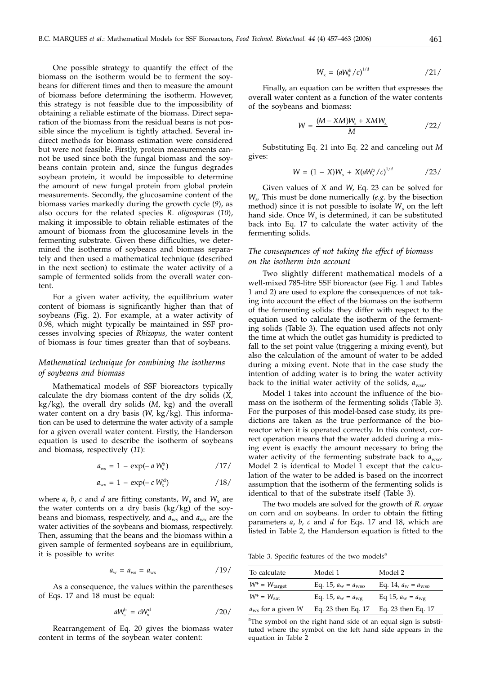One possible strategy to quantify the effect of the biomass on the isotherm would be to ferment the soybeans for different times and then to measure the amount of biomass before determining the isotherm. However, this strategy is not feasible due to the impossibility of obtaining a reliable estimate of the biomass. Direct separation of the biomass from the residual beans is not possible since the mycelium is tightly attached. Several indirect methods for biomass estimation were considered but were not feasible. Firstly, protein measurements cannot be used since both the fungal biomass and the soybeans contain protein and, since the fungus degrades soybean protein, it would be impossible to determine the amount of new fungal protein from global protein measurements. Secondly, the glucosamine content of the biomass varies markedly during the growth cycle (*9*), as also occurs for the related species *R. oligosporus* (*10*), making it impossible to obtain reliable estimates of the amount of biomass from the glucosamine levels in the fermenting substrate. Given these difficulties, we determined the isotherms of soybeans and biomass separately and then used a mathematical technique (described in the next section) to estimate the water activity of a sample of fermented solids from the overall water content.

For a given water activity, the equilibrium water content of biomass is significantly higher than that of soybeans (Fig. 2). For example, at a water activity of 0.98, which might typically be maintained in SSF processes involving species of *Rhizopus*, the water content of biomass is four times greater than that of soybeans.

# *Mathematical technique for combining the isotherms of soybeans and biomass*

Mathematical models of SSF bioreactors typically calculate the dry biomass content of the dry solids (*X*, kg/kg), the overall dry solids (*M*, kg) and the overall water content on a dry basis (*W*, kg/kg). This information can be used to determine the water activity of a sample for a given overall water content. Firstly, the Handerson equation is used to describe the isotherm of soybeans and biomass, respectively (*11*):

$$
a_{\rm ws} = 1 - \exp(-a W_{\rm s}^{\rm b}) \qquad \qquad /17/
$$

$$
a_{\rm wx} = 1 - \exp(-c \, W_{\rm x}^{\rm d}) \qquad \qquad /18/
$$

where  $a$ ,  $b$ ,  $c$  and  $d$  are fitting constants,  $W_s$  and  $W_x$  are the water contents on a dry basis (kg/kg) of the soybeans and biomass, respectively, and  $a_{ws}$  and  $a_{wx}$  are the water activities of the soybeans and biomass, respectively. Then, assuming that the beans and the biomass within a given sample of fermented soybeans are in equilibrium, it is possible to write:

$$
a_{\rm w} = a_{\rm ws} = a_{\rm wx} \qquad \qquad /19/
$$

As a consequence, the values within the parentheses of Eqs. 17 and 18 must be equal:

$$
aW_{\rm s}^{\rm b} = cW_{\rm x}^{\rm d} \tag{20}
$$

Rearrangement of Eq. 20 gives the biomass water content in terms of the soybean water content:

$$
W_{\rm x} = \left(aW_{\rm s}^{\rm b}/c\right)^{1/d} \tag{21/}
$$

Finally, an equation can be written that expresses the overall water content as a function of the water contents of the soybeans and biomass:

$$
W = \frac{(M - XM)W_s + XMW_x}{M}
$$

Substituting Eq. 21 into Eq. 22 and canceling out *M* gives:

$$
W = (1 - X)W_{\rm s} + X(aW_{\rm s}^{\rm b}/c)^{1/d} \qquad \qquad /23/
$$

Given values of *X* and *W*, Eq. 23 can be solved for *W*s. This must be done numerically (*e.g.* by the bisection method) since it is not possible to isolate  $W_s$  on the left hand side. Once W<sub>s</sub> is determined, it can be substituted back into Eq. 17 to calculate the water activity of the fermenting solids.

# *The consequences of not taking the effect of biomass on the isotherm into account*

Two slightly different mathematical models of a well-mixed 785-litre SSF bioreactor (see Fig. 1 and Tables 1 and 2) are used to explore the consequences of not taking into account the effect of the biomass on the isotherm of the fermenting solids: they differ with respect to the equation used to calculate the isotherm of the fermenting solids (Table 3). The equation used affects not only the time at which the outlet gas humidity is predicted to fall to the set point value (triggering a mixing event), but also the calculation of the amount of water to be added during a mixing event. Note that in the case study the intention of adding water is to bring the water activity back to the initial water activity of the solids, *a*wso.

Model 1 takes into account the influence of the biomass on the isotherm of the fermenting solids (Table 3). For the purposes of this model-based case study, its predictions are taken as the true performance of the bioreactor when it is operated correctly. In this context, correct operation means that the water added during a mixing event is exactly the amount necessary to bring the water activity of the fermenting substrate back to  $a_{\text{wso}}$ . Model 2 is identical to Model 1 except that the calculation of the water to be added is based on the incorrect assumption that the isotherm of the fermenting solids is identical to that of the substrate itself (Table 3).

The two models are solved for the growth of *R. oryzae* on corn and on soybeans. In order to obtain the fitting parameters *a*, *b*, *c* and *d* for Eqs. 17 and 18, which are listed in Table 2, the Handerson equation is fitted to the

Table 3. Specific features of the two models $a$ 

| To calculate                  | Model 1                           | Model 2                           |
|-------------------------------|-----------------------------------|-----------------------------------|
| $W^* = W_{\text{target}}$     | Eq. 15, $a_{\rm w} = a_{\rm wso}$ | Eq. 14, $a_{\rm w} = a_{\rm wso}$ |
| $W^* = W_{\text{sat}}$        | Eq. 15, $a_{\rm w} = a_{\rm wg}$  | Eq 15, $a_{\rm w} = a_{\rm wg}$   |
| $a_{\text{ws}}$ for a given W | Eq. 23 then Eq. 17                | Eq. 23 then Eq. 17                |

<sup>a</sup>The symbol on the right hand side of an equal sign is substituted where the symbol on the left hand side appears in the equation in Table 2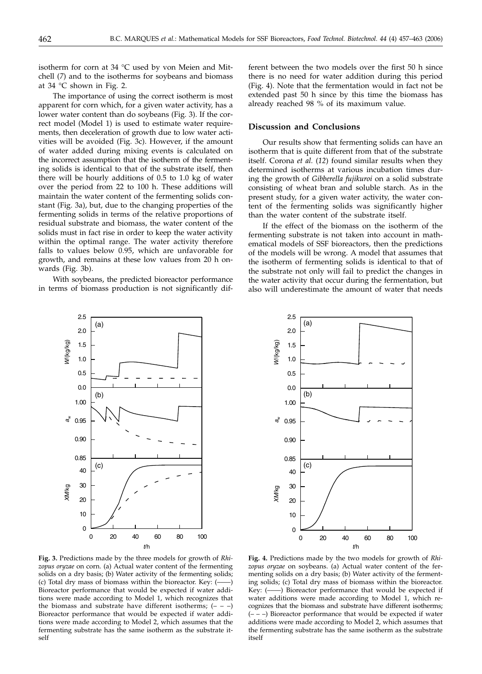isotherm for corn at 34 °C used by von Meien and Mitchell (*7*) and to the isotherms for soybeans and biomass at 34 °C shown in Fig. 2.

The importance of using the correct isotherm is most apparent for corn which, for a given water activity, has a lower water content than do soybeans (Fig. 3). If the correct model (Model 1) is used to estimate water requirements, then deceleration of growth due to low water activities will be avoided (Fig. 3c). However, if the amount of water added during mixing events is calculated on the incorrect assumption that the isotherm of the fermenting solids is identical to that of the substrate itself, then there will be hourly additions of 0.5 to 1.0 kg of water over the period from 22 to 100 h. These additions will maintain the water content of the fermenting solids constant (Fig. 3a), but, due to the changing properties of the fermenting solids in terms of the relative proportions of residual substrate and biomass, the water content of the solids must in fact rise in order to keep the water activity within the optimal range. The water activity therefore falls to values below 0.95, which are unfavorable for growth, and remains at these low values from 20 h onwards (Fig. 3b).

With soybeans, the predicted bioreactor performance in terms of biomass production is not significantly different between the two models over the first 50 h since there is no need for water addition during this period (Fig. 4). Note that the fermentation would in fact not be extended past 50 h since by this time the biomass has already reached 98 % of its maximum value.

### **Discussion and Conclusions**

Our results show that fermenting solids can have an isotherm that is quite different from that of the substrate itself. Corona *et al.* (*12*) found similar results when they determined isotherms at various incubation times during the growth of *Gibberella fujikuroi* on a solid substrate consisting of wheat bran and soluble starch. As in the present study, for a given water activity, the water content of the fermenting solids was significantly higher than the water content of the substrate itself.

If the effect of the biomass on the isotherm of the fermenting substrate is not taken into account in mathematical models of SSF bioreactors, then the predictions of the models will be wrong. A model that assumes that the isotherm of fermenting solids is identical to that of the substrate not only will fail to predict the changes in the water activity that occur during the fermentation, but also will underestimate the amount of water that needs





**Fig. 3.** Predictions made by the three models for growth of *Rhizopus oryzae* on corn. (a) Actual water content of the fermenting solids on a dry basis; (b) Water activity of the fermenting solids; (c) Total dry mass of biomass within the bioreactor. Key:  $($ ----Bioreactor performance that would be expected if water additions were made according to Model 1, which recognizes that the biomass and substrate have different isotherms;  $(- - -)$ Bioreactor performance that would be expected if water additions were made according to Model 2, which assumes that the fermenting substrate has the same isotherm as the substrate itself

**Fig. 4.** Predictions made by the two models for growth of *Rhizopus oryzae* on soybeans. (a) Actual water content of the fermenting solids on a dry basis; (b) Water activity of the fermenting solids; (c) Total dry mass of biomass within the bioreactor. Key: (------) Bioreactor performance that would be expected if water additions were made according to Model 1, which recognizes that the biomass and substrate have different isotherms;  $(- - -)$  Bioreactor performance that would be expected if water additions were made according to Model 2, which assumes that the fermenting substrate has the same isotherm as the substrate itself